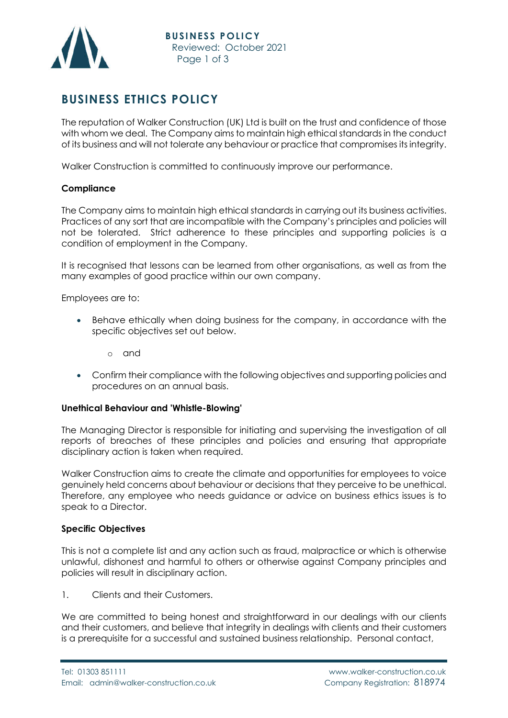

## **BUSINESS ETHICS POLICY**

The reputation of Walker Construction (UK) Ltd is built on the trust and confidence of those with whom we deal. The Company aims to maintain high ethical standards in the conduct of its business and will not tolerate any behaviour or practice that compromises its integrity.

Walker Construction is committed to continuously improve our performance.

## **Compliance**

The Company aims to maintain high ethical standards in carrying out its business activities. Practices of any sort that are incompatible with the Company's principles and policies will not be tolerated. Strict adherence to these principles and supporting policies is a condition of employment in the Company.

It is recognised that lessons can be learned from other organisations, as well as from the many examples of good practice within our own company.

Employees are to:

- Behave ethically when doing business for the company, in accordance with the specific objectives set out below.
	- o and
- Confirm their compliance with the following objectives and supporting policies and procedures on an annual basis.

## **Unethical Behaviour and 'Whistle-Blowing'**

The Managing Director is responsible for initiating and supervising the investigation of all reports of breaches of these principles and policies and ensuring that appropriate disciplinary action is taken when required.

Walker Construction aims to create the climate and opportunities for employees to voice genuinely held concerns about behaviour or decisions that they perceive to be unethical. Therefore, any employee who needs guidance or advice on business ethics issues is to speak to a Director.

## **Specific Objectives**

This is not a complete list and any action such as fraud, malpractice or which is otherwise unlawful, dishonest and harmful to others or otherwise against Company principles and policies will result in disciplinary action.

1. Clients and their Customers.

We are committed to being honest and straightforward in our dealings with our clients and their customers, and believe that integrity in dealings with clients and their customers is a prerequisite for a successful and sustained business relationship. Personal contact,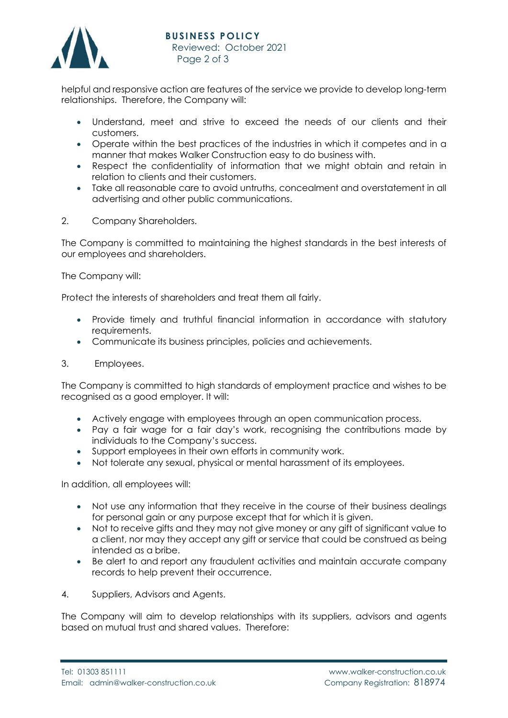

helpful and responsive action are features of the service we provide to develop long-term relationships. Therefore, the Company will:

- Understand, meet and strive to exceed the needs of our clients and their customers.
- Operate within the best practices of the industries in which it competes and in a manner that makes Walker Construction easy to do business with.
- Respect the confidentiality of information that we might obtain and retain in relation to clients and their customers.
- Take all reasonable care to avoid untruths, concealment and overstatement in all advertising and other public communications.
- 2. Company Shareholders.

The Company is committed to maintaining the highest standards in the best interests of our employees and shareholders.

The Company will:

Protect the interests of shareholders and treat them all fairly.

- Provide timely and truthful financial information in accordance with statutory requirements.
- Communicate its business principles, policies and achievements.
- 3. Employees.

The Company is committed to high standards of employment practice and wishes to be recognised as a good employer. It will:

- Actively engage with employees through an open communication process.
- Pay a fair wage for a fair day's work, recognising the contributions made by individuals to the Company's success.
- Support employees in their own efforts in community work.
- Not tolerate any sexual, physical or mental harassment of its employees.

In addition, all employees will:

- Not use any information that they receive in the course of their business dealings for personal gain or any purpose except that for which it is given.
- Not to receive gifts and they may not give money or any gift of significant value to a client, nor may they accept any gift or service that could be construed as being intended as a bribe.
- Be alert to and report any fraudulent activities and maintain accurate company records to help prevent their occurrence.
- 4. Suppliers, Advisors and Agents.

The Company will aim to develop relationships with its suppliers, advisors and agents based on mutual trust and shared values. Therefore: